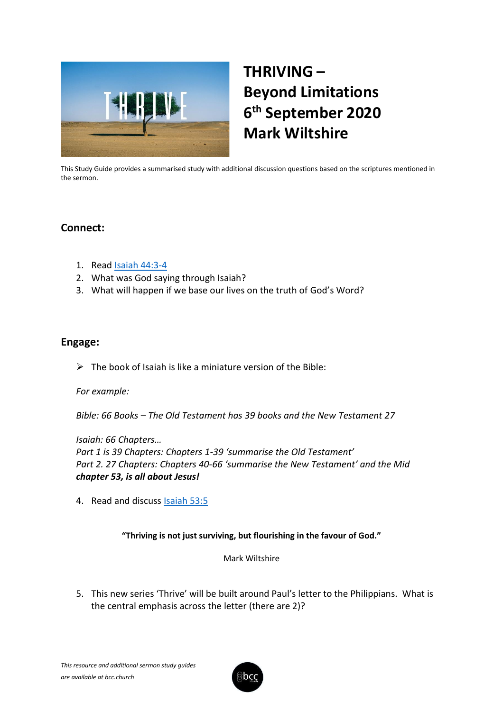

# **THRIVING – Beyond Limitations 6 th September 2020 Mark Wiltshire**

This Study Guide provides a summarised study with additional discussion questions based on the scriptures mentioned in the sermon.

## **Connect:**

- 1. Read [Isaiah 44:3-4](https://www.biblegateway.com/passage/?search=Isaiah+44%3A3-4&version=ESV)
- 2. What was God saying through Isaiah?
- 3. What will happen if we base our lives on the truth of God's Word?

## **Engage:**

 $\triangleright$  The book of Isaiah is like a miniature version of the Bible:

## *For example:*

*Bible: 66 Books – The Old Testament has 39 books and the New Testament 27*

*Isaiah: 66 Chapters… Part 1 is 39 Chapters: Chapters 1-39 'summarise the Old Testament' Part 2. 27 Chapters: Chapters 40-66 'summarise the New Testament' and the Mid chapter 53, is all about Jesus!*

4. Read and discuss [Isaiah 53:5](https://www.biblegateway.com/passage/?search=Isaiah+53%3A5&version=ESV)

## **"Thriving is not just surviving, but flourishing in the favour of God."**

#### Mark Wiltshire

5. This new series 'Thrive' will be built around Paul's letter to the Philippians. What is the central emphasis across the letter (there are 2)?

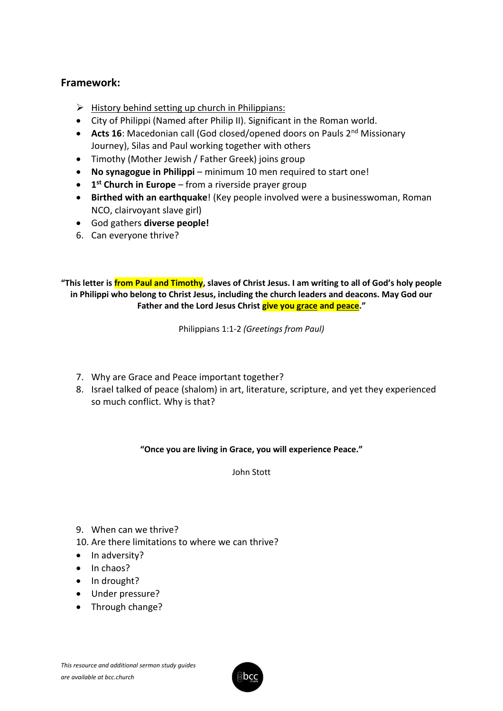# **Framework:**

- $\triangleright$  History behind setting up church in Philippians:
- City of Philippi (Named after Philip II). Significant in the Roman world.
- **Acts 16**: Macedonian call (God closed/opened doors on Pauls 2<sup>nd</sup> Missionary Journey), Silas and Paul working together with others
- Timothy (Mother Jewish / Father Greek) joins group
- **No synagogue in Philippi** minimum 10 men required to start one!
- **1 st Church in Europe** from a riverside prayer group
- **Birthed with an earthquake**! (Key people involved were a businesswoman, Roman NCO, clairvoyant slave girl)
- God gathers **diverse people!**
- 6. Can everyone thrive?

**"This letter is from Paul and Timothy, slaves of Christ Jesus. I am writing to all of God's holy people in Philippi who belong to Christ Jesus, including the church leaders and deacons. May God our Father and the Lord Jesus Christ give you grace and peace."**

Philippians 1:1-2 *(Greetings from Paul)* 

- 7. Why are Grace and Peace important together?
- 8. Israel talked of peace (shalom) in art, literature, scripture, and yet they experienced so much conflict. Why is that?

**"Once you are living in Grace, you will experience Peace."**

John Stott

- 9. When can we thrive?
- 10. Are there limitations to where we can thrive?
- In adversity?
- In chaos?
- In drought?
- Under pressure?
- Through change?

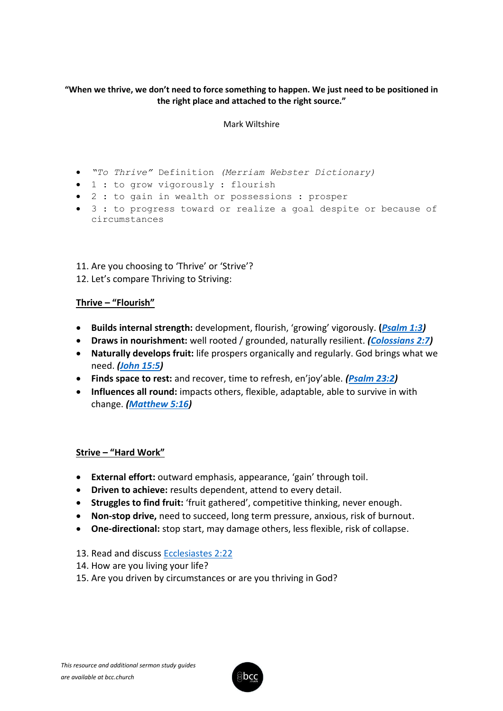#### **"When we thrive, we don't need to force something to happen. We just need to be positioned in the right place and attached to the right source."**

#### Mark Wiltshire

- *"To Thrive"* Definition *(Merriam Webster Dictionary)*
- 1 : to grow vigorously : flourish
- 2 : to gain in wealth or possessions : prosper
- 3 : to progress toward or realize a goal despite or because of circumstances

11. Are you choosing to 'Thrive' or 'Strive'? 12. Let's compare Thriving to Striving:

#### **Thrive – "Flourish"**

- **Builds internal strength:** development, flourish, 'growing' vigorously. **(***[Psalm 1:3\)](https://www.biblegateway.com/passage/?search=Psalm+1%3A3&version=ESV)*
- **Draws in nourishment:** well rooted / grounded, naturally resilient. *[\(Colossians 2:7\)](https://www.biblegateway.com/passage/?search=Colossians+2%3A7&version=ESV)*
- **Naturally develops fruit:** life prospers organically and regularly. God brings what we need. *[\(John 15:5\)](https://www.biblegateway.com/passage/?search=John+15%3A5&version=ESV)*
- **Finds space to rest:** and recover, time to refresh, en'joy'able. *[\(Psalm 23:2\)](https://www.biblegateway.com/passage/?search=Psalm+23%3A2&version=ESV)*
- **Influences all round:** impacts others, flexible, adaptable, able to survive in with change. *[\(Matthew 5:16\)](https://www.biblegateway.com/passage/?search=Matthew+5%3A16&version=ESV)*

#### **Strive – "Hard Work"**

- **External effort:** outward emphasis, appearance, 'gain' through toil.
- **Driven to achieve:** results dependent, attend to every detail.
- **Struggles to find fruit:** 'fruit gathered', competitive thinking, never enough.
- **Non-stop drive,** need to succeed, long term pressure, anxious, risk of burnout.
- **One-directional:** stop start, may damage others, less flexible, risk of collapse.
- 13. Read and discuss [Ecclesiastes 2:22](https://www.biblegateway.com/passage/?search=Ecclesiastes+2%3A22&version=ESV)
- 14. How are you living your life?
- 15. Are you driven by circumstances or are you thriving in God?